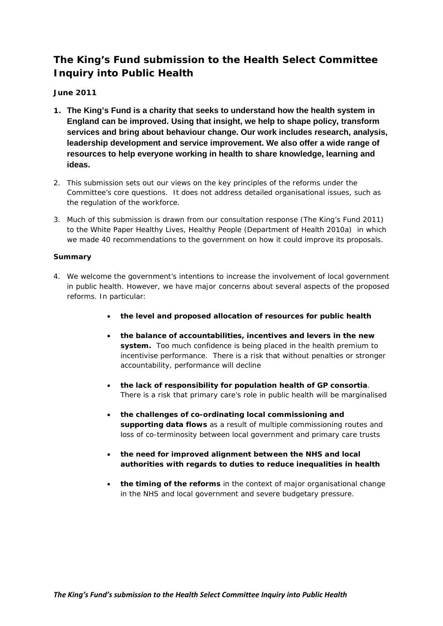# **The King's Fund submission to the Health Select Committee Inquiry into Public Health**

# **June 2011**

- **1. The King's Fund is a charity that seeks to understand how the health system in England can be improved. Using that insight, we help to shape policy, transform services and bring about behaviour change. Our work includes research, analysis, leadership development and service improvement. We also offer a wide range of resources to help everyone working in health to share knowledge, learning and ideas.**
- 2. This submission sets out our views on the key principles of the reforms under the Committee's core questions. It does not address detailed organisational issues, such as the regulation of the workforce.
- 3. Much of this submission is drawn from our consultation response (The King's Fund 2011) to the White Paper *Healthy Lives, Healthy People* (Department of Health 2010a) in which we made 40 recommendations to the government on how it could improve its proposals.

### **Summary**

- 4. We welcome the government's intentions to increase the involvement of local government in public health. However, we have major concerns about several aspects of the proposed reforms. In particular:
	- **the level and proposed allocation of resources for public health**
	- **the balance of accountabilities, incentives and levers in the new system.** Too much confidence is being placed in the health premium to incentivise performance. There is a risk that without penalties or stronger accountability, performance will decline
	- **the lack of responsibility for population health of GP consortia**. There is a risk that primary care's role in public health will be marginalised
	- **the challenges of co-ordinating local commissioning and supporting data flows** as a result of multiple commissioning routes and loss of co-terminosity between local government and primary care trusts
	- **the need for improved alignment between the NHS and local authorities with regards to duties to reduce inequalities in health**
	- **the timing of the reforms** in the context of major organisational change in the NHS and local government and severe budgetary pressure.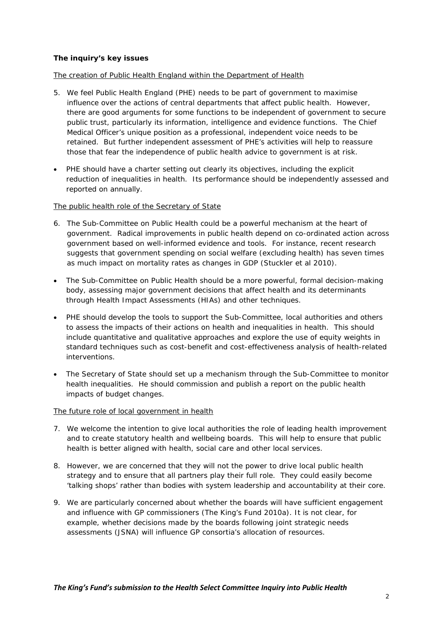## **The inquiry's key issues**

## The creation of Public Health England within the Department of Health

- 5. We feel Public Health England (PHE) needs to be part of government to maximise influence over the actions of central departments that affect public health. However, there are good arguments for some functions to be independent of government to secure public trust, particularly its information, intelligence and evidence functions. The Chief Medical Officer's unique position as a professional, independent voice needs to be retained. But further independent assessment of PHE's activities will help to reassure those that fear the independence of public health advice to government is at risk.
- *PHE should have a charter setting out clearly its objectives, including the explicit reduction of inequalities in health*. Its performance should be independently assessed and reported on annually.

### The public health role of the Secretary of State

- 6. The Sub-Committee on Public Health could be a powerful mechanism at the heart of government. Radical improvements in public health depend on co-ordinated action across government based on well-informed evidence and tools. For instance, recent research suggests that government spending on social welfare (excluding health) has seven times as much impact on mortality rates as changes in GDP (Stuckler *et al* 2010).
- *The Sub-Committee on Public Health should be a more powerful, formal decision-making body*, assessing major government decisions that affect health and its determinants through Health Impact Assessments (HIAs) and other techniques.
- *PHE should develop the tools to support the Sub-Committee, local authorities and others to assess the impacts of their actions on health and inequalities in health*. This should include quantitative and qualitative approaches and explore the use of equity weights in standard techniques such as cost-benefit and cost-effectiveness analysis of health-related interventions.
- *The Secretary of State should set up a mechanism through the Sub-Committee to monitor health inequalities*. He should commission and publish a report on the public health impacts of budget changes.

#### The future role of local government in health

- 7. We welcome the intention to give local authorities the role of leading health improvement and to create statutory health and wellbeing boards. This will help to ensure that public health is better aligned with health, social care and other local services.
- 8. However, we are concerned that they will not the power to drive local public health strategy and to ensure that all partners play their full role. They could easily become 'talking shops' rather than bodies with system leadership and accountability at their core.
- 9. We are particularly concerned about whether the boards will have sufficient engagement and influence with GP commissioners (The King's Fund 2010a). It is not clear, for example, whether decisions made by the boards following joint strategic needs assessments (JSNA) will influence GP consortia's allocation of resources.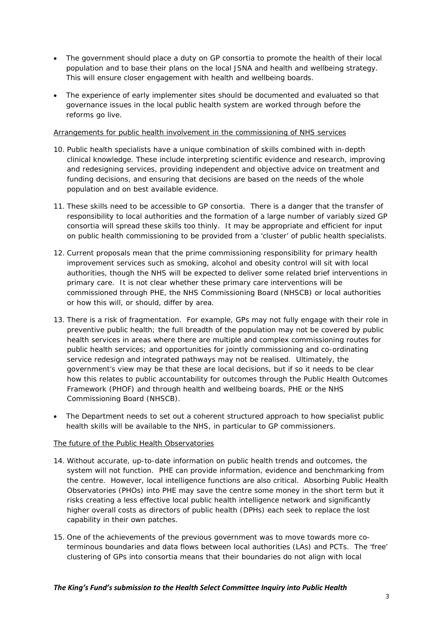- *The government should place a duty on GP consortia to promote the health of their local population* and to base their plans on the local JSNA and health and wellbeing strategy. This will ensure closer engagement with health and wellbeing boards.
- *The experience of early implementer sites should be documented and evaluated* so that governance issues in the local public health system are worked through before the reforms go live.

### Arrangements for public health involvement in the commissioning of NHS services

- 10. Public health specialists have a unique combination of skills combined with in-depth clinical knowledge. These include interpreting scientific evidence and research, improving and redesigning services, providing independent and objective advice on treatment and funding decisions, and ensuring that decisions are based on the needs of the whole population and on best available evidence.
- 11. These skills need to be accessible to GP consortia. There is a danger that the transfer of responsibility to local authorities and the formation of a large number of variably sized GP consortia will spread these skills too thinly. It may be appropriate and efficient for input on public health commissioning to be provided from a 'cluster' of public health specialists.
- 12. Current proposals mean that the prime commissioning responsibility for primary health improvement services such as smoking, alcohol and obesity control will sit with local authorities, though the NHS will be expected to deliver some related brief interventions in primary care. It is not clear whether these primary care interventions will be commissioned through PHE, the NHS Commissioning Board (NHSCB) or local authorities or how this will, or should, differ by area.
- 13. There is a risk of fragmentation. For example, GPs may not fully engage with their role in preventive public health; the full breadth of the population may not be covered by public health services in areas where there are multiple and complex commissioning routes for public health services; and opportunities for jointly commissioning and co-ordinating service redesign and integrated pathways may not be realised. Ultimately, the government's view may be that these are local decisions, but if so it needs to be clear how this relates to public accountability for outcomes through the Public Health Outcomes Framework (PHOF) and through health and wellbeing boards, PHE or the NHS Commissioning Board (NHSCB).
- *The Department needs to set out a coherent structured approach to how specialist public health skills will be available to the NHS*, in particular to GP commissioners.

## The future of the Public Health Observatories

- 14. Without accurate, up-to-date information on public health trends and outcomes, the system will not function. PHE can provide information, evidence and benchmarking from the centre. However, local intelligence functions are also critical. Absorbing Public Health Observatories (PHOs) into PHE may save the centre some money in the short term but it risks creating a less effective local public health intelligence network and significantly higher overall costs as directors of public health (DPHs) each seek to replace the lost capability in their own patches.
- 15. One of the achievements of the previous government was to move towards more coterminous boundaries and data flows between local authorities (LAs) and PCTs. The 'free' clustering of GPs into consortia means that their boundaries do not align with local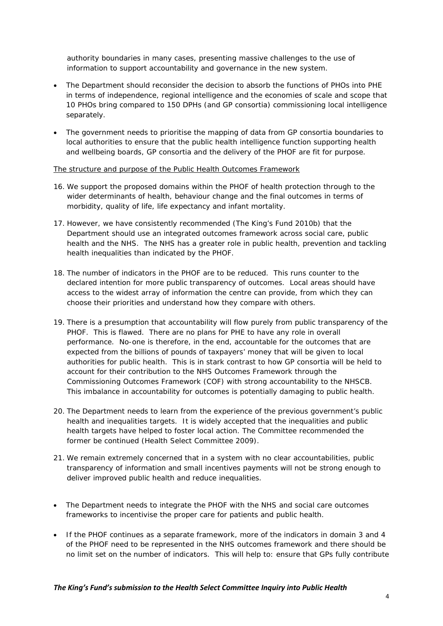authority boundaries in many cases, presenting massive challenges to the use of information to support accountability and governance in the new system.

- *The Department should reconsider the decision to absorb the functions of PHOs into PHE* in terms of independence, regional intelligence and the economies of scale and scope that 10 PHOs bring compared to 150 DPHs (and GP consortia) commissioning local intelligence separately.
- *The government needs to prioritise the mapping of data from GP consortia boundaries to local authorities* to ensure that the public health intelligence function supporting health and wellbeing boards, GP consortia and the delivery of the PHOF are fit for purpose.

### The structure and purpose of the Public Health Outcomes Framework

- 16. We support the proposed domains within the PHOF of health protection through to the wider determinants of health, behaviour change and the final outcomes in terms of morbidity, quality of life, life expectancy and infant mortality.
- 17. However, we have consistently recommended (The King's Fund 2010b) that the Department should use an integrated outcomes framework across social care, public health and the NHS. The NHS has a greater role in public health, prevention and tackling health inequalities than indicated by the PHOF.
- 18. The number of indicators in the PHOF are to be reduced. This runs counter to the declared intention for more public transparency of outcomes. Local areas should have access to the widest array of information the centre can provide, from which they can choose their priorities and understand how they compare with others.
- 19. There is a presumption that accountability will flow purely from public transparency of the PHOF. This is flawed. There are no plans for PHE to have any role in overall performance. No-one is therefore, in the end, accountable for the outcomes that are expected from the billions of pounds of taxpayers' money that will be given to local authorities for public health. This is in stark contrast to how GP consortia will be held to account for their contribution to the NHS Outcomes Framework through the Commissioning Outcomes Framework (COF) with strong accountability to the NHSCB. This imbalance in accountability for outcomes is potentially damaging to public health.
- 20. The Department needs to learn from the experience of the previous government's public health and inequalities targets. It is widely accepted that the inequalities and public health targets have helped to foster local action. The Committee recommended the former be continued (Health Select Committee 2009).
- 21. We remain extremely concerned that in a system with no clear accountabilities, public transparency of information and small incentives payments will not be strong enough to deliver improved public health and reduce inequalities.
- *The Department needs to integrate the PHOF with the NHS and social care outcomes frameworks* to incentivise the proper care for patients and public health.
- If the PHOF continues as a separate framework*, more of the indicators in domain 3 and 4 of the PHOF need to be represented in the NHS outcomes framework and there should be no limit set on the number of indicators*. This will help to: ensure that GPs fully contribute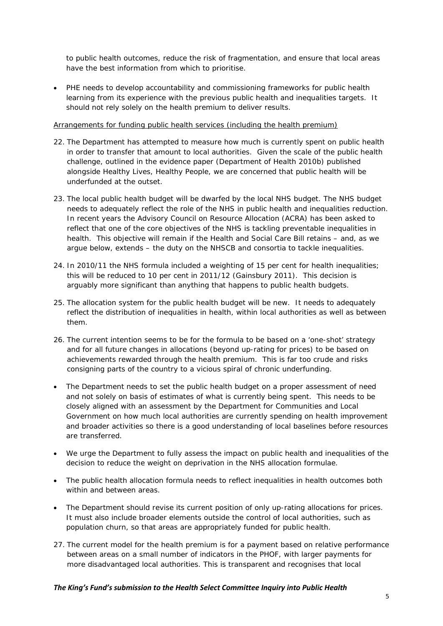to public health outcomes, reduce the risk of fragmentation, and ensure that local areas have the best information from which to prioritise.

• *PHE needs to develop accountability and commissioning frameworks for public health* learning from its experience with the previous public health and inequalities targets.It should not rely solely on the health premium to deliver results.

### Arrangements for funding public health services (including the health premium)

- 22. The Department has attempted to measure how much is currently spent on public health in order to transfer that amount to local authorities. Given the scale of the public health challenge, outlined in the evidence paper (Department of Health 2010b) published alongside *Healthy Lives, Healthy People*, we are concerned that public health will be underfunded at the outset.
- 23. The local public health budget will be dwarfed by the local NHS budget. The NHS budget needs to adequately reflect the role of the NHS in public health and inequalities reduction. In recent years the Advisory Council on Resource Allocation (ACRA) has been asked to reflect that one of the core objectives of the NHS is tackling preventable inequalities in health. This objective will remain if the Health and Social Care Bill retains – and, as we argue below, extends – the duty on the NHSCB and consortia to tackle inequalities.
- 24. In 2010/11 the NHS formula included a weighting of 15 per cent for health inequalities; this will be reduced to 10 per cent in 2011/12 (Gainsbury 2011). This decision is arguably more significant than anything that happens to public health budgets.
- 25. The allocation system for the public health budget will be new. It needs to adequately reflect the distribution of inequalities in health, within local authorities as well as between them.
- 26. The current intention seems to be for the formula to be based on a 'one-shot' strategy and for all future changes in allocations (beyond up-rating for prices) to be based on achievements rewarded through the health premium. This is far too crude and risks consigning parts of the country to a vicious spiral of chronic underfunding.
- *The Department needs to set the public health budget on a proper assessment of need* and not solely on basis of estimates of what is currently being spent. This needs to be closely aligned with an assessment by the Department for Communities and Local Government on how much local authorities are currently spending on health improvement and broader activities so there is a good understanding of local baselines before resources are transferred.
- *We urge the Department to fully assess the impact on public health and inequalities of the decision to reduce the weight on deprivation in the NHS allocation formulae*.
- *The public health allocation formula needs to reflect inequalities in health outcomes both within and between areas*.
- *The Department should revise its current position of only up-rating allocations for prices.* It must also include broader elements outside the control of local authorities, such as population churn, so that areas are appropriately funded for public health.
- 27. The current model for the health premium is for a payment based on relative performance between areas on a small number of indicators in the PHOF, with larger payments for more disadvantaged local authorities. This is transparent and recognises that local

#### *The King's Fund's submission to the Health Select Committee Inquiry into Public Health*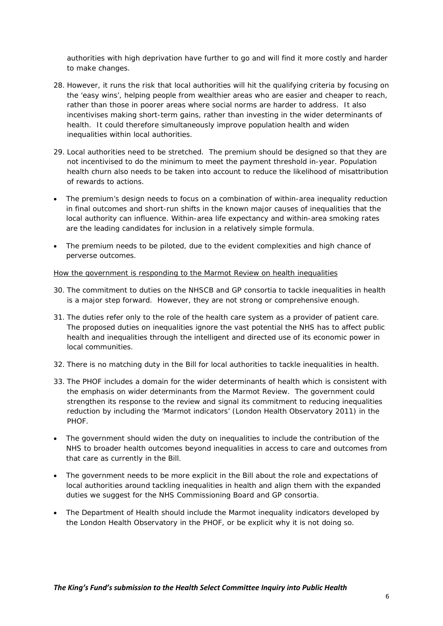authorities with high deprivation have further to go and will find it more costly and harder to make changes.

- 28. However, it runs the risk that local authorities will hit the qualifying criteria by focusing on the 'easy wins', helping people from wealthier areas who are easier and cheaper to reach, rather than those in poorer areas where social norms are harder to address. It also incentivises making short-term gains, rather than investing in the wider determinants of health. It could therefore simultaneously improve population health and widen inequalities within local authorities.
- 29. Local authorities need to be stretched. The premium should be designed so that they are not incentivised to do the minimum to meet the payment threshold in-year. Population health churn also needs to be taken into account to reduce the likelihood of misattribution of rewards to actions.
- *The premium's design needs to focus on a combination of within-area inequality reduction in final outcomes and short-run shifts in the known major causes of inequalities that the local authority can influence.* Within-area life expectancy and within-area smoking rates are the leading candidates for inclusion in a relatively simple formula.
- *The premium needs to be piloted*, due to the evident complexities and high chance of perverse outcomes.

### How the government is responding to the Marmot Review on health inequalities

- 30. The commitment to duties on the NHSCB and GP consortia to tackle inequalities in health is a major step forward. However, they are not strong or comprehensive enough.
- 31. The duties refer only to the role of the health care system as a provider of patient care. The proposed duties on inequalities ignore the vast potential the NHS has to affect public health and inequalities through the intelligent and directed use of its economic power in local communities.
- 32. There is no matching duty in the Bill for local authorities to tackle inequalities in health.
- 33. The PHOF includes a domain for the wider determinants of health which is consistent with the emphasis on wider determinants from the Marmot Review. The government could strengthen its response to the review and signal its commitment to reducing inequalities reduction by including the 'Marmot indicators' (London Health Observatory 2011) in the PHOF.
- *The government should widen the duty on inequalities to include the contribution of the NHS to broader health outcomes* beyond inequalities in access to care and outcomes from that care as currently in the Bill.
- *The government needs to be more explicit in the Bill about the role and expectations of local authorities around tackling inequalities in health* and align them with the expanded duties we suggest for the NHS Commissioning Board and GP consortia.
- *The Department of Health should include the Marmot inequality indicators developed by the London Health Observatory in the PHOF*, or be explicit why it is not doing so.